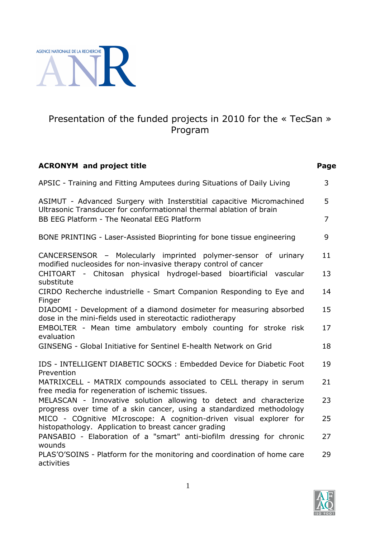

# Presentation of the funded projects in 2010 for the « TecSan » Program

| <b>ACRONYM</b> and project title                                                                                                             | Page |
|----------------------------------------------------------------------------------------------------------------------------------------------|------|
| APSIC - Training and Fitting Amputees during Situations of Daily Living                                                                      | 3    |
| ASIMUT - Advanced Surgery with Insterstitial capacitive Micromachined<br>Ultrasonic Transducer for conformationnal thermal ablation of brain | 5    |
| BB EEG Platform - The Neonatal EEG Platform                                                                                                  | 7    |
| BONE PRINTING - Laser-Assisted Bioprinting for bone tissue engineering                                                                       | 9    |
| CANCERSENSOR - Molecularly imprinted polymer-sensor of urinary<br>modified nucleosides for non-invasive therapy control of cancer            | 11   |
| CHITOART - Chitosan physical hydrogel-based bioartificial vascular<br>substitute                                                             | 13   |
| CIRDO Recherche industrielle - Smart Companion Responding to Eye and<br>Finger                                                               | 14   |
| DIADOMI - Development of a diamond dosimeter for measuring absorbed<br>dose in the mini-fields used in stereotactic radiotherapy             | 15   |
| EMBOLTER - Mean time ambulatory emboly counting for stroke risk<br>evaluation                                                                | 17   |
| GINSENG - Global Initiative for Sentinel E-health Network on Grid                                                                            | 18   |
| IDS - INTELLIGENT DIABETIC SOCKS : Embedded Device for Diabetic Foot<br>Prevention                                                           | 19   |
| MATRIXCELL - MATRIX compounds associated to CELL therapy in serum<br>free media for regeneration of ischemic tissues.                        | 21   |
| MELASCAN - Innovative solution allowing to detect and characterize<br>progress over time of a skin cancer, using a standardized methodology  | 23   |
| MICO - COgnitive MIcroscope: A cognition-driven visual explorer for<br>histopathology. Application to breast cancer grading                  | 25   |
| PANSABIO - Elaboration of a "smart" anti-biofilm dressing for chronic<br>wounds                                                              | 27   |
| PLAS'O'SOINS - Platform for the monitoring and coordination of home care<br>activities                                                       | 29   |

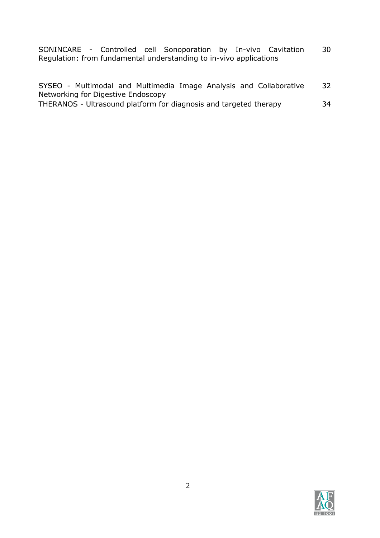SONINCARE - Controlled cell Sonoporation by In-vivo Cavitation Regulation: from fundamental understanding to in-vivo applications 30

|  |                                                                   |  |  | SYSEO - Multimodal and Multimedia Image Analysis and Collaborative | 32 |
|--|-------------------------------------------------------------------|--|--|--------------------------------------------------------------------|----|
|  | Networking for Digestive Endoscopy                                |  |  |                                                                    |    |
|  | THERANOS - Ultrasound platform for diagnosis and targeted therapy |  |  |                                                                    | 34 |

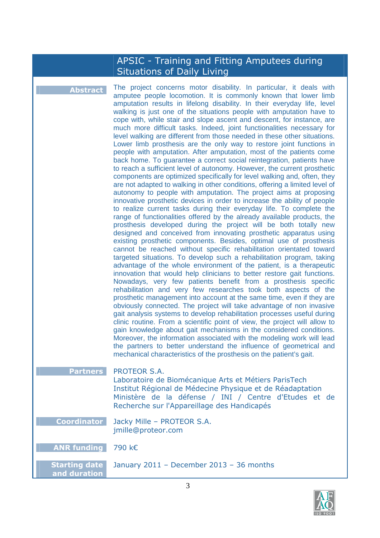### APSIC - Training and Fitting Amputees during Situations of Daily Living

**Abstract** The project concerns motor disability. In particular, it deals with amputee people locomotion. It is commonly known that lower limb amputation results in lifelong disability. In their everyday life, level walking is just one of the situations people with amputation have to cope with, while stair and slope ascent and descent, for instance, are much more difficult tasks. Indeed, joint functionalities necessary for level walking are different from those needed in these other situations. Lower limb prosthesis are the only way to restore joint functions in people with amputation. After amputation, most of the patients come back home. To guarantee a correct social reintegration, patients have to reach a sufficient level of autonomy. However, the current prosthetic components are optimized specifically for level walking and, often, they are not adapted to walking in other conditions, offering a limited level of autonomy to people with amputation. The project aims at proposing innovative prosthetic devices in order to increase the ability of people to realize current tasks during their everyday life. To complete the range of functionalities offered by the already available products, the prosthesis developed during the project will be both totally new designed and conceived from innovating prosthetic apparatus using existing prosthetic components. Besides, optimal use of prosthesis cannot be reached without specific rehabilitation orientated toward targeted situations. To develop such a rehabilitation program, taking advantage of the whole environment of the patient, is a therapeutic innovation that would help clinicians to better restore gait functions. Nowadays, very few patients benefit from a prosthesis specific rehabilitation and very few researches took both aspects of the prosthetic management into account at the same time, even if they are obviously connected. The project will take advantage of non invasive gait analysis systems to develop rehabilitation processes useful during clinic routine. From a scientific point of view, the project will allow to gain knowledge about gait mechanisms in the considered conditions. Moreover, the information associated with the modeling work will lead the partners to better understand the influence of geometrical and mechanical characteristics of the prosthesis on the patient's gait. **Partners** PROTEOR S.A. Laboratoire de Biomécanique Arts et Métiers ParisTech Institut Régional de Médecine Physique et de Réadaptation Ministère de la défense / INI / Centre d'Etudes et de Recherche sur l'Appareillage des Handicapés **Coordinator** Jacky Mille – PROTEOR S.A. jmille@proteor.com **ANR funding** 790 k€ **Starting date and duration** January 2011 – December 2013 – 36 months

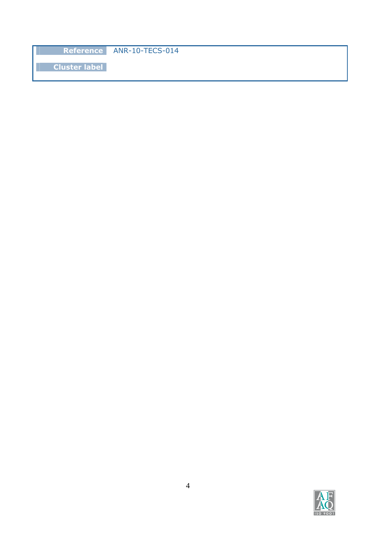**Reference** ANR-10-TECS-014

**Cluster label**

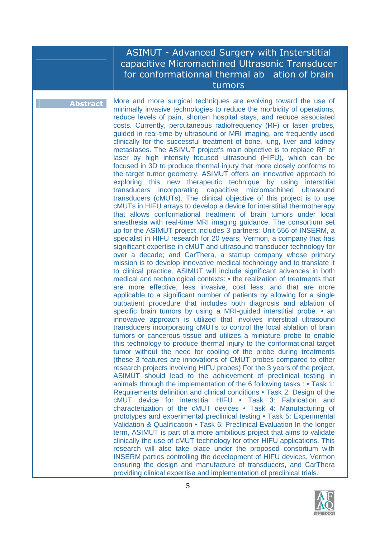### ASIMUT - Advanced Surgery with Insterstitial capacitive Micromachined Ultrasonic Transducer for conformationnal thermal ab ation of brain tumors

**Abstract** More and more surgical techniques are evolving toward the use of minimally invasive technologies to reduce the morbidity of operations, reduce levels of pain, shorten hospital stays, and reduce associated costs. Currently, percutaneous radiofrequency (RF) or laser probes, guided in real-time by ultrasound or MRI imaging, are frequently used clinically for the successful treatment of bone, lung, liver and kidney metastases. The ASIMUT project's main objective is to replace RF or laser by high intensity focused ultrasound (HIFU), which can be focused in 3D to produce thermal injury that more closely conforms to the target tumor geometry. ASIMUT offers an innovative approach to exploring this new therapeutic technique by using interstitial transducers incorporating capacitive micromachined ultrasound transducers (cMUTs). The clinical objective of this project is to use cMUTs in HIFU arrays to develop a device for interstitial thermotherapy that allows conformational treatment of brain tumors under local anesthesia with real-time MRI imaging guidance. The consortium set up for the ASIMUT project includes 3 partners: Unit 556 of INSERM, a specialist in HIFU research for 20 years; Vermon, a company that has significant expertise in cMUT and ultrasound transducer technology for over a decade; and CarThera, a startup company whose primary mission is to develop innovative medical technology and to translate it to clinical practice. ASIMUT will include significant advances in both medical and technological contexts: • the realization of treatments that are more effective, less invasive, cost less, and that are more applicable to a significant number of patients by allowing for a single outpatient procedure that includes both diagnosis and ablation of specific brain tumors by using a MRI-quided interstitial probe. • an innovative approach is utilized that involves interstitial ultrasound transducers incorporating cMUTs to control the local ablation of brain tumors or cancerous tissue and utilizes a miniature probe to enable this technology to produce thermal injury to the conformational target tumor without the need for cooling of the probe during treatments (these 3 features are innovations of CMUT probes compared to other research projects involving HIFU probes) For the 3 years of the project, ASIMUT should lead to the achievement of preclinical testing in animals through the implementation of the 6 following tasks : • Task 1: Requirements definition and clinical conditions • Task 2: Design of the cMUT device for interstitial HIFU • Task 3: Fabrication and characterization of the cMUT devices • Task 4: Manufacturing of prototypes and experimental preclinical testing • Task 5: Experimental Validation & Qualification • Task 6: Preclinical Evaluation In the longer term, ASIMUT is part of a more ambitious project that aims to validate clinically the use of cMUT technology for other HIFU applications. This research will also take place under the proposed consortium with INSERM parties controlling the development of HIFU devices, Vermon ensuring the design and manufacture of transducers, and CarThera providing clinical expertise and implementation of preclinical trials.

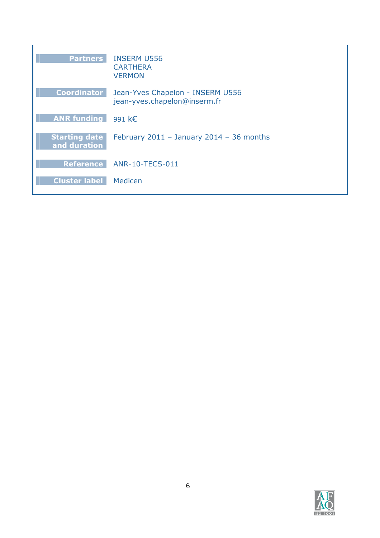| <b>Partners</b>                      | <b>INSERM U556</b><br><b>CARTHERA</b><br><b>VERMON</b>           |
|--------------------------------------|------------------------------------------------------------------|
| <b>Coordinator</b>                   | Jean-Yves Chapelon - INSERM U556<br>jean-yves.chapelon@inserm.fr |
| <b>ANR funding</b>                   | 991 $k \in$                                                      |
| <b>Starting date</b><br>and duration | February $2011 -$ January $2014 - 36$ months                     |
| <b>Reference</b>                     | <b>ANR-10-TECS-011</b>                                           |
| <b>Cluster label</b>                 | Medicen                                                          |

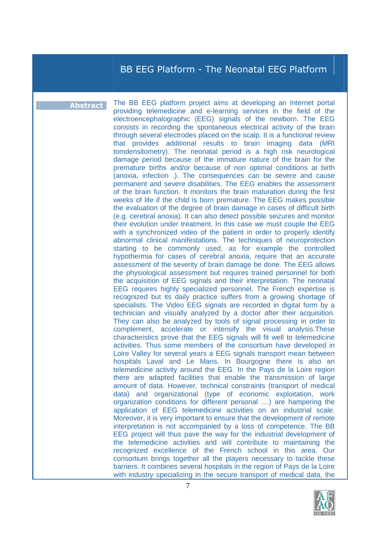# BB EEG Platform - The Neonatal EEG Platform

**Abstract** The BB EEG platform project aims at developing an Internet portal providing telemedicine and e-learning services in the field of the electroencephalographic (EEG) signals of the newborn. The EEG consists in recording the spontaneous electrical activity of the brain through several electrodes placed on the scalp. It is a functional review that provides additional results to brain imaging data (MRI tomdensitometry). The neonatal period is a high risk neurological damage period because of the immature nature of the brain for the premature births and/or because of non optimal conditions at birth (anoxia, infection .). The consequences can be severe and cause permanent and severe disabilities. The EEG enables the assessment of the brain function. It monitors the brain maturation during the first weeks of life if the child is born premature. The EEG makes possible the evaluation of the degree of brain damage in cases of difficult birth (e.g. cerebral anoxia). It can also detect possible seizures and monitor their evolution under treatment. In this case we must couple the EEG with a synchronized video of the patient in order to properly identify abnormal clinical manifestations. The techniques of neuroprotection starting to be commonly used, as for example the controlled hypothermia for cases of cerebral anoxia, require that an accurate assessment of the severity of brain damage be done. The EEG allows the physiological assessment but requires trained personnel for both the acquisition of EEG signals and their interpretation. The neonatal EEG requires highly specialized personnel. The French expertise is recognized but its daily practice suffers from a growing shortage of specialists. The Video EEG signals are recorded in digital form by a technician and visually analyzed by a doctor after their acquisition. They can also be analyzed by tools of signal processing in order to complement, accelerate or intensify the visual analysis.These characteristics prove that the EEG signals will fit well to telemedicine activities. Thus some members of the consortium have developed in Loire Valley for several years a EEG signals transport mean between hospitals Laval and Le Mans. In Bourgogne there is also an telemedicine activity around the EEG. In the Pays de la Loire region there are adapted facilities that enable the transmission of large amount of data. However, technical constraints (transport of medical data) and organizational (type of economic exploitation, work organization conditions for different personal ....) are hampering the application of EEG telemedicine activities on an industrial scale. Moreover, it is very important to ensure that the development of remote interpretation is not accompanied by a loss of competence. The BB EEG project will thus pave the way for the industrial development of the telemedicine activities and will contribute to maintaining the recognized excellence of the French school in this area. Our consortium brings together all the players necessary to tackle these barriers. It combines several hospitals in the region of Pays de la Loire with industry specializing in the secure transport of medical data, the

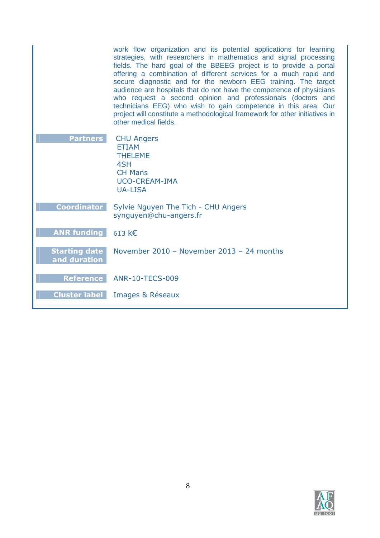|                                      | work flow organization and its potential applications for learning<br>strategies, with researchers in mathematics and signal processing<br>fields. The hard goal of the BBEEG project is to provide a portal<br>offering a combination of different services for a much rapid and<br>secure diagnostic and for the newborn EEG training. The target<br>audience are hospitals that do not have the competence of physicians<br>who request a second opinion and professionals (doctors and<br>technicians EEG) who wish to gain competence in this area. Our<br>project will constitute a methodological framework for other initiatives in<br>other medical fields. |
|--------------------------------------|----------------------------------------------------------------------------------------------------------------------------------------------------------------------------------------------------------------------------------------------------------------------------------------------------------------------------------------------------------------------------------------------------------------------------------------------------------------------------------------------------------------------------------------------------------------------------------------------------------------------------------------------------------------------|
| <b>Partners</b>                      | <b>CHU Angers</b><br><b>ETIAM</b><br><b>THELEME</b><br>4SH<br><b>CH Mans</b><br><b>UCO-CREAM-IMA</b><br><b>UA-LISA</b>                                                                                                                                                                                                                                                                                                                                                                                                                                                                                                                                               |
| <b>Coordinator</b>                   | Sylvie Nguyen The Tich - CHU Angers<br>synguyen@chu-angers.fr                                                                                                                                                                                                                                                                                                                                                                                                                                                                                                                                                                                                        |
| <b>ANR funding</b>                   | 613 $k \in$                                                                                                                                                                                                                                                                                                                                                                                                                                                                                                                                                                                                                                                          |
| <b>Starting date</b><br>and duration | November 2010 - November 2013 - 24 months                                                                                                                                                                                                                                                                                                                                                                                                                                                                                                                                                                                                                            |
| <b>Reference</b>                     | <b>ANR-10-TECS-009</b>                                                                                                                                                                                                                                                                                                                                                                                                                                                                                                                                                                                                                                               |
| <b>Cluster label</b>                 | Images & Réseaux                                                                                                                                                                                                                                                                                                                                                                                                                                                                                                                                                                                                                                                     |

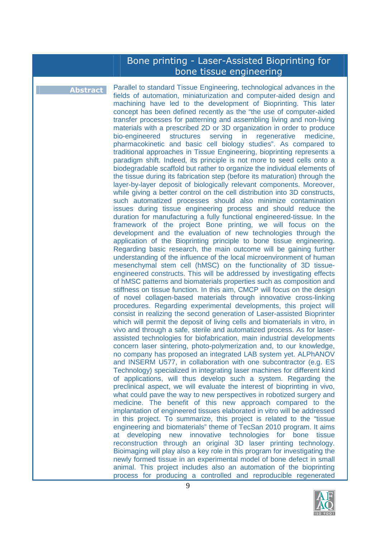# Bone printing - Laser-Assisted Bioprinting for bone tissue engineering

**Abstract** Parallel to standard Tissue Engineering, technological advances in the fields of automation, miniaturization and computer-aided design and machining have led to the development of Bioprinting. This later concept has been defined recently as the "the use of computer-aided transfer processes for patterning and assembling living and non-living materials with a prescribed 2D or 3D organization in order to produce bio-engineered structures serving in regenerative medicine, pharmacokinetic and basic cell biology studies". As compared to traditional approaches in Tissue Engineering, bioprinting represents a paradigm shift. Indeed, its principle is not more to seed cells onto a biodegradable scaffold but rather to organize the individual elements of the tissue during its fabrication step (before its maturation) through the layer-by-layer deposit of biologically relevant components. Moreover, while giving a better control on the cell distribution into 3D constructs, such automatized processes should also minimize contamination issues during tissue engineering process and should reduce the duration for manufacturing a fully functional engineered-tissue. In the framework of the project Bone printing, we will focus on the development and the evaluation of new technologies through the application of the Bioprinting principle to bone tissue engineering. Regarding basic research, the main outcome will be gaining further understanding of the influence of the local microenvironment of human mesenchymal stem cell (hMSC) on the functionality of 3D tissueengineered constructs. This will be addressed by investigating effects of hMSC patterns and biomaterials properties such as composition and stiffness on tissue function. In this aim, CMCP will focus on the design of novel collagen-based materials through innovative cross-linking procedures. Regarding experimental developments, this project will consist in realizing the second generation of Laser-assisted Bioprinter which will permit the deposit of living cells and biomaterials in vitro, in vivo and through a safe, sterile and automatized process. As for laserassisted technologies for biofabrication, main industrial developments concern laser sintering, photo-polymerization and, to our knowledge, no company has proposed an integrated LAB system yet. ALPhANOV and INSERM U577, in collaboration with one subcontractor (e.g. ES Technology) specialized in integrating laser machines for different kind of applications, will thus develop such a system. Regarding the preclinical aspect, we will evaluate the interest of bioprinting in vivo, what could pave the way to new perspectives in robotized surgery and medicine. The benefit of this new approach compared to the implantation of engineered tissues elaborated in vitro will be addressed in this project. To summarize, this project is related to the "tissue engineering and biomaterials" theme of TecSan 2010 program. It aims at developing new innovative technologies for bone tissue reconstruction through an original 3D laser printing technology. Bioimaging will play also a key role in this program for investigating the newly formed tissue in an experimental model of bone defect in small animal. This project includes also an automation of the bioprinting process for producing a controlled and reproducible regenerated

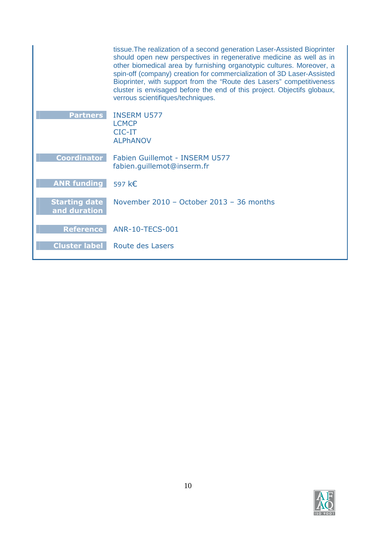|                                      | tissue. The realization of a second generation Laser-Assisted Bioprinter<br>should open new perspectives in regenerative medicine as well as in<br>other biomedical area by furnishing organotypic cultures. Moreover, a<br>spin-off (company) creation for commercialization of 3D Laser-Assisted<br>Bioprinter, with support from the "Route des Lasers" competitiveness<br>cluster is envisaged before the end of this project. Objectifs globaux,<br>verrous scientifiques/techniques. |
|--------------------------------------|--------------------------------------------------------------------------------------------------------------------------------------------------------------------------------------------------------------------------------------------------------------------------------------------------------------------------------------------------------------------------------------------------------------------------------------------------------------------------------------------|
| <b>Partners</b>                      | <b>INSERM U577</b><br><b>LCMCP</b><br>$CIC-IT$<br><b>ALPHANOV</b>                                                                                                                                                                                                                                                                                                                                                                                                                          |
| <b>Coordinator</b>                   | Fabien Guillemot - INSERM U577<br>fabien.guillemot@inserm.fr                                                                                                                                                                                                                                                                                                                                                                                                                               |
| <b>ANR funding</b>                   | 597 k€                                                                                                                                                                                                                                                                                                                                                                                                                                                                                     |
| <b>Starting date</b><br>and duration | November 2010 - October 2013 - 36 months                                                                                                                                                                                                                                                                                                                                                                                                                                                   |
| <b>Reference</b>                     | <b>ANR-10-TECS-001</b>                                                                                                                                                                                                                                                                                                                                                                                                                                                                     |
| <b>Cluster label</b>                 | Route des Lasers                                                                                                                                                                                                                                                                                                                                                                                                                                                                           |

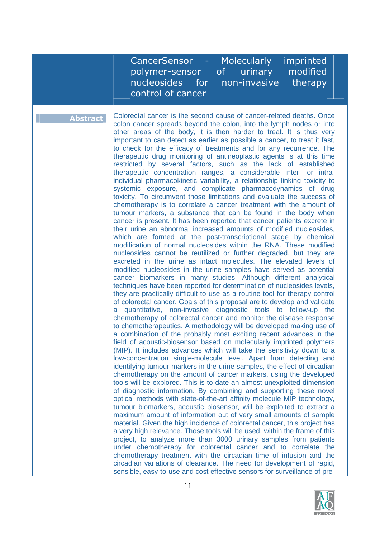CancerSensor - Molecularly imprinted polymer-sensor of urinary modified nucleosides for non-invasive therapy control of cancer

**Abstract** Colorectal cancer is the second cause of cancer-related deaths. Once colon cancer spreads beyond the colon, into the lymph nodes or into other areas of the body, it is then harder to treat. It is thus very important to can detect as earlier as possible a cancer, to treat it fast, to check for the efficacy of treatments and for any recurrence. The therapeutic drug monitoring of antineoplastic agents is at this time restricted by several factors, such as the lack of established therapeutic concentration ranges, a considerable inter- or intraindividual pharmacokinetic variability, a relationship linking toxicity to systemic exposure, and complicate pharmacodynamics of drug toxicity. To circumvent those limitations and evaluate the success of chemotherapy is to correlate a cancer treatment with the amount of tumour markers, a substance that can be found in the body when cancer is present. It has been reported that cancer patients excrete in their urine an abnormal increased amounts of modified nucleosides, which are formed at the post-transcriptional stage by chemical modification of normal nucleosides within the RNA. These modified nucleosides cannot be reutilized or further degraded, but they are excreted in the urine as intact molecules. The elevated levels of modified nucleosides in the urine samples have served as potential cancer biomarkers in many studies. Although different analytical techniques have been reported for determination of nucleosides levels, they are practically difficult to use as a routine tool for therapy control of colorectal cancer. Goals of this proposal are to develop and validate a quantitative, non-invasive diagnostic tools to follow-up the chemotherapy of colorectal cancer and monitor the disease response to chemotherapeutics. A methodology will be developed making use of a combination of the probably most exciting recent advances in the field of acoustic-biosensor based on molecularly imprinted polymers (MIP). It includes advances which will take the sensitivity down to a low-concentration single-molecule level. Apart from detecting and identifying tumour markers in the urine samples, the effect of circadian chemotherapy on the amount of cancer markers, using the developed tools will be explored. This is to date an almost unexploited dimension of diagnostic information. By combining and supporting these novel optical methods with state-of-the-art affinity molecule MIP technology, tumour biomarkers, acoustic biosensor, will be exploited to extract a maximum amount of information out of very small amounts of sample material. Given the high incidence of colorectal cancer, this project has a very high relevance. Those tools will be used, within the frame of this project, to analyze more than 3000 urinary samples from patients under chemotherapy for colorectal cancer and to correlate the chemotherapy treatment with the circadian time of infusion and the circadian variations of clearance. The need for development of rapid, sensible, easy-to-use and cost effective sensors for surveillance of pre-

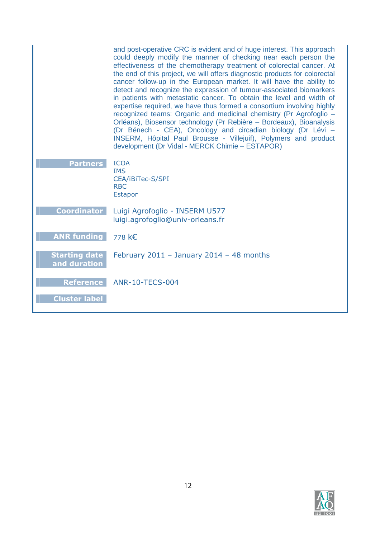|                                      | and post-operative CRC is evident and of huge interest. This approach<br>could deeply modify the manner of checking near each person the<br>effectiveness of the chemotherapy treatment of colorectal cancer. At<br>the end of this project, we will offers diagnostic products for colorectal<br>cancer follow-up in the European market. It will have the ability to<br>detect and recognize the expression of tumour-associated biomarkers<br>in patients with metastatic cancer. To obtain the level and width of<br>expertise required, we have thus formed a consortium involving highly<br>recognized teams: Organic and medicinal chemistry (Pr Agrofoglio -<br>Orléans), Biosensor technology (Pr Rebière - Bordeaux), Bioanalysis<br>(Dr Bénech - CEA), Oncology and circadian biology (Dr Lévi -<br>INSERM, Hôpital Paul Brousse - Villejuif), Polymers and product<br>development (Dr Vidal - MERCK Chimie - ESTAPOR) |
|--------------------------------------|-----------------------------------------------------------------------------------------------------------------------------------------------------------------------------------------------------------------------------------------------------------------------------------------------------------------------------------------------------------------------------------------------------------------------------------------------------------------------------------------------------------------------------------------------------------------------------------------------------------------------------------------------------------------------------------------------------------------------------------------------------------------------------------------------------------------------------------------------------------------------------------------------------------------------------------|
| <b>Partners</b>                      | <b>ICOA</b><br><b>IMS</b><br>CEA/iBiTec-S/SPI<br><b>RBC</b><br><b>Estapor</b>                                                                                                                                                                                                                                                                                                                                                                                                                                                                                                                                                                                                                                                                                                                                                                                                                                                     |
| <b>Coordinator</b>                   | Luigi Agrofoglio - INSERM U577<br>luigi.agrofoglio@univ-orleans.fr                                                                                                                                                                                                                                                                                                                                                                                                                                                                                                                                                                                                                                                                                                                                                                                                                                                                |
| <b>ANR funding</b>                   | 778 k€                                                                                                                                                                                                                                                                                                                                                                                                                                                                                                                                                                                                                                                                                                                                                                                                                                                                                                                            |
| <b>Starting date</b><br>and duration | February 2011 - January 2014 - 48 months                                                                                                                                                                                                                                                                                                                                                                                                                                                                                                                                                                                                                                                                                                                                                                                                                                                                                          |
| <b>Reference</b>                     | <b>ANR-10-TECS-004</b>                                                                                                                                                                                                                                                                                                                                                                                                                                                                                                                                                                                                                                                                                                                                                                                                                                                                                                            |
| <b>Cluster label</b>                 |                                                                                                                                                                                                                                                                                                                                                                                                                                                                                                                                                                                                                                                                                                                                                                                                                                                                                                                                   |

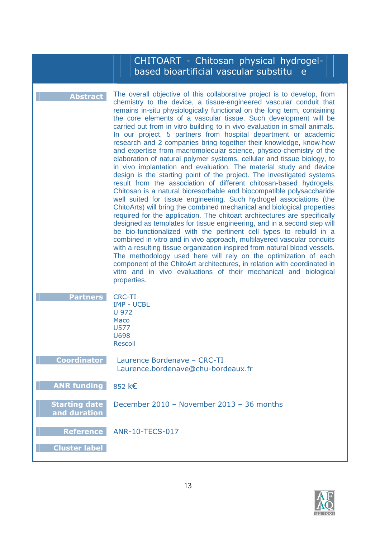|                                          | CHITOART - Chitosan physical hydrogel-<br>based bioartificial vascular substitu<br>e                                                                                                                                                                                                                                                                                                                                                                                                                                                                                                                                                                                                                                                                                                                                                                                                                                                                                                                                                                                                                                                                                                                                                                                                                                                                                                                                                                                                                                                                                                                                                                                                                                                        |
|------------------------------------------|---------------------------------------------------------------------------------------------------------------------------------------------------------------------------------------------------------------------------------------------------------------------------------------------------------------------------------------------------------------------------------------------------------------------------------------------------------------------------------------------------------------------------------------------------------------------------------------------------------------------------------------------------------------------------------------------------------------------------------------------------------------------------------------------------------------------------------------------------------------------------------------------------------------------------------------------------------------------------------------------------------------------------------------------------------------------------------------------------------------------------------------------------------------------------------------------------------------------------------------------------------------------------------------------------------------------------------------------------------------------------------------------------------------------------------------------------------------------------------------------------------------------------------------------------------------------------------------------------------------------------------------------------------------------------------------------------------------------------------------------|
| <b>Abstract</b>                          | The overall objective of this collaborative project is to develop, from<br>chemistry to the device, a tissue-engineered vascular conduit that<br>remains in-situ physiologically functional on the long term, containing<br>the core elements of a vascular tissue. Such development will be<br>carried out from in vitro building to in vivo evaluation in small animals.<br>In our project, 5 partners from hospital department or academic<br>research and 2 companies bring together their knowledge, know-how<br>and expertise from macromolecular science, physico-chemistry of the<br>elaboration of natural polymer systems, cellular and tissue biology, to<br>in vivo implantation and evaluation. The material study and device<br>design is the starting point of the project. The investigated systems<br>result from the association of different chitosan-based hydrogels.<br>Chitosan is a natural bioresorbable and biocompatible polysaccharide<br>well suited for tissue engineering. Such hydrogel associations (the<br>ChitoArts) will bring the combined mechanical and biological properties<br>required for the application. The chitoart architectures are specifically<br>designed as templates for tissue engineering, and in a second step will<br>be bio-functionalized with the pertinent cell types to rebuild in a<br>combined in vitro and in vivo approach, multilayered vascular conduits<br>with a resulting tissue organization inspired from natural blood vessels.<br>The methodology used here will rely on the optimization of each<br>component of the ChitoArt architectures, in relation with coordinated in<br>vitro and in vivo evaluations of their mechanical and biological<br>properties. |
| <b>Partners</b>                          | <b>CRC-TI</b><br><b>IMP - UCBL</b><br>U 972<br>Maco<br><b>U577</b><br><b>U698</b><br><b>Rescoll</b>                                                                                                                                                                                                                                                                                                                                                                                                                                                                                                                                                                                                                                                                                                                                                                                                                                                                                                                                                                                                                                                                                                                                                                                                                                                                                                                                                                                                                                                                                                                                                                                                                                         |
| <b>Coordinator</b>                       | Laurence Bordenave - CRC-TI<br>Laurence.bordenave@chu-bordeaux.fr                                                                                                                                                                                                                                                                                                                                                                                                                                                                                                                                                                                                                                                                                                                                                                                                                                                                                                                                                                                                                                                                                                                                                                                                                                                                                                                                                                                                                                                                                                                                                                                                                                                                           |
| <b>ANR funding</b>                       | 852 k€                                                                                                                                                                                                                                                                                                                                                                                                                                                                                                                                                                                                                                                                                                                                                                                                                                                                                                                                                                                                                                                                                                                                                                                                                                                                                                                                                                                                                                                                                                                                                                                                                                                                                                                                      |
| <b>Starting date</b><br>and duration     | December 2010 - November 2013 - 36 months                                                                                                                                                                                                                                                                                                                                                                                                                                                                                                                                                                                                                                                                                                                                                                                                                                                                                                                                                                                                                                                                                                                                                                                                                                                                                                                                                                                                                                                                                                                                                                                                                                                                                                   |
| <b>Reference</b><br><b>Cluster label</b> | <b>ANR-10-TECS-017</b>                                                                                                                                                                                                                                                                                                                                                                                                                                                                                                                                                                                                                                                                                                                                                                                                                                                                                                                                                                                                                                                                                                                                                                                                                                                                                                                                                                                                                                                                                                                                                                                                                                                                                                                      |

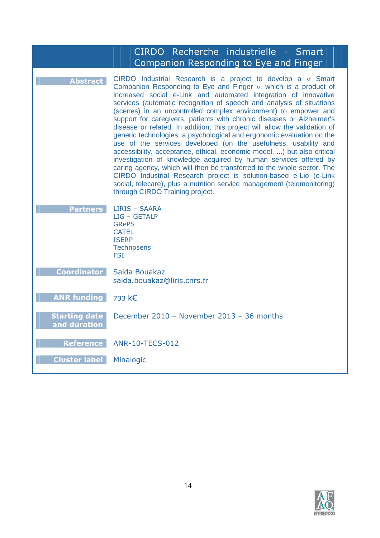|                                      | CIRDO Recherche industrielle - Smart<br>Companion Responding to Eye and Finger                                                                                                                                                                                                                                                                                                                                                                                                                                                                                                                                                                                                                                                                                                                                                                                                                                                                                                                                                                              |
|--------------------------------------|-------------------------------------------------------------------------------------------------------------------------------------------------------------------------------------------------------------------------------------------------------------------------------------------------------------------------------------------------------------------------------------------------------------------------------------------------------------------------------------------------------------------------------------------------------------------------------------------------------------------------------------------------------------------------------------------------------------------------------------------------------------------------------------------------------------------------------------------------------------------------------------------------------------------------------------------------------------------------------------------------------------------------------------------------------------|
| <b>Abstract</b>                      | CIRDO Industrial Research is a project to develop a « Smart<br>Companion Responding to Eye and Finger », which is a product of<br>increased social e-Link and automated integration of innovative<br>services (automatic recognition of speech and analysis of situations<br>(scenes) in an uncontrolled complex environment) to empower and<br>support for caregivers, patients with chronic diseases or Alzheimer's<br>disease or related. In addition, this project will allow the validation of<br>generic technologies, a psychological and ergonomic evaluation on the<br>use of the services developed (on the usefulness, usability and<br>accessibility, acceptance, ethical, economic model, ) but also critical<br>investigation of knowledge acquired by human services offered by<br>caring agency, which will then be transferred to the whole sector. The<br>CIRDO Industrial Research project is solution-based e-Lio (e-Link<br>social, telecare), plus a nutrition service management (telemonitoring)<br>through CIRDO Training project. |
| <b>Partners</b>                      | LIRIS - SAARA<br>$LIG - GETALP$<br><b>GRePS</b><br><b>CATEL</b><br><b>ISERP</b><br><b>Technosens</b><br><b>FSI</b>                                                                                                                                                                                                                                                                                                                                                                                                                                                                                                                                                                                                                                                                                                                                                                                                                                                                                                                                          |
| <b>Coordinator</b>                   | Saida Bouakaz<br>saida.bouakaz@liris.cnrs.fr                                                                                                                                                                                                                                                                                                                                                                                                                                                                                                                                                                                                                                                                                                                                                                                                                                                                                                                                                                                                                |
| <b>ANR funding</b>                   | 733 k€                                                                                                                                                                                                                                                                                                                                                                                                                                                                                                                                                                                                                                                                                                                                                                                                                                                                                                                                                                                                                                                      |
| <b>Starting date</b><br>and duration | December 2010 - November 2013 - 36 months                                                                                                                                                                                                                                                                                                                                                                                                                                                                                                                                                                                                                                                                                                                                                                                                                                                                                                                                                                                                                   |
| <b>Reference</b>                     | <b>ANR-10-TECS-012</b>                                                                                                                                                                                                                                                                                                                                                                                                                                                                                                                                                                                                                                                                                                                                                                                                                                                                                                                                                                                                                                      |
| <b>Cluster label</b>                 | Minalogic                                                                                                                                                                                                                                                                                                                                                                                                                                                                                                                                                                                                                                                                                                                                                                                                                                                                                                                                                                                                                                                   |

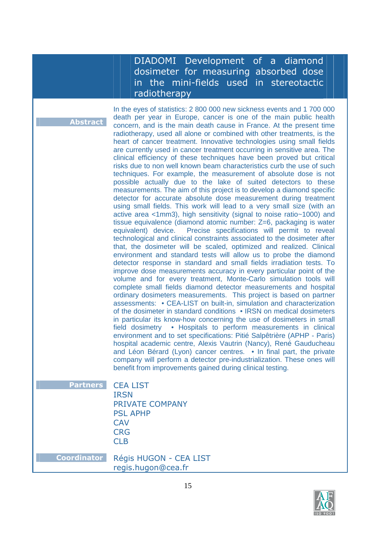### DIADOMI Development of a diamond dosimeter for measuring absorbed dose in the mini-fields used in stereotactic radiotherapy

**bstract** 

In the eyes of statistics: 2 800 000 new sickness events and 1 700 000 death per year in Europe, cancer is one of the main public health concern, and is the main death cause in France. At the present time radiotherapy, used all alone or combined with other treatments, is the heart of cancer treatment. Innovative technologies using small fields are currently used in cancer treatment occurring in sensitive area. The clinical efficiency of these techniques have been proved but critical risks due to non well known beam characteristics curb the use of such techniques. For example, the measurement of absolute dose is not possible actually due to the lake of suited detectors to these measurements. The aim of this project is to develop a diamond specific detector for accurate absolute dose measurement during treatment using small fields. This work will lead to a very small size (with an active area <1mm3), high sensitivity (signal to noise ratio~1000) and tissue equivalence (diamond atomic number: Z=6, packaging is water equivalent) device. Precise specifications will permit to reveal technological and clinical constraints associated to the dosimeter after that, the dosimeter will be scaled, optimized and realized. Clinical environment and standard tests will allow us to probe the diamond detector response in standard and small fields irradiation tests. To improve dose measurements accuracy in every particular point of the volume and for every treatment, Monte-Carlo simulation tools will complete small fields diamond detector measurements and hospital ordinary dosimeters measurements. This project is based on partner assessments: • CEA-LIST on built-in, simulation and characterization of the dosimeter in standard conditions • IRSN on medical dosimeters in particular its know-how concerning the use of dosimeters in small field dosimetry • Hospitals to perform measurements in clinical environment and to set specifications: Pitié Salpêtrière (APHP - Paris) hospital academic centre, Alexis Vautrin (Nancy), René Gauducheau and Léon Bérard (Lyon) cancer centres. • In final part, the private company will perform a detector pre-industrialization. These ones will benefit from improvements gained during clinical testing.

| <b>Partners CEA LIST</b> |
|--------------------------|
| <b>IRSN</b>              |
| <b>PRIVATE COMPANY</b>   |
| <b>PSL APHP</b>          |
| <b>CAV</b>               |
| <b>CRG</b>               |
| CI B                     |
|                          |

**Coordinator** Régis HUGON - CEA LIST regis.hugon@cea.fr

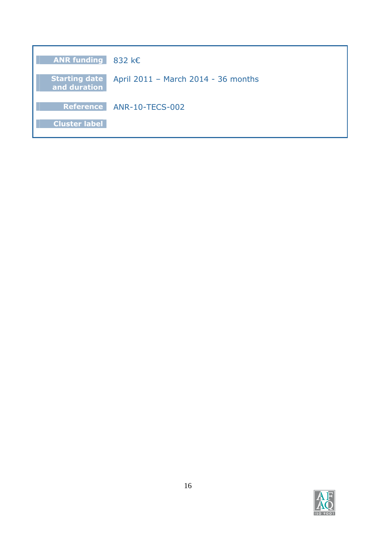| ANR funding $832 \text{ }k\text{ }$ |                                                    |
|-------------------------------------|----------------------------------------------------|
| and duration                        | Starting date  April 2011 - March 2014 - 36 months |
|                                     | Reference ANR-10-TECS-002                          |
| <b>Cluster label</b>                |                                                    |

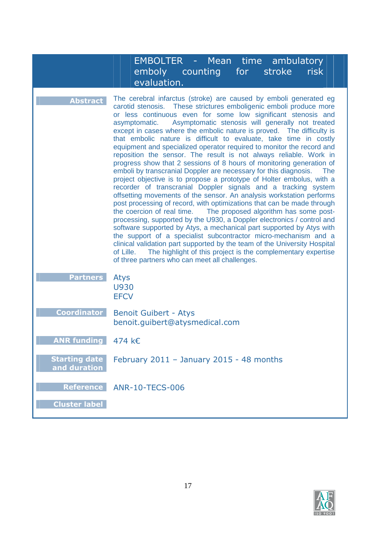|                                          | <b>EMBOLTER - Mean time ambulatory</b><br>emboly counting<br>risk<br>for the set of the set of the set of the set of the set of the set of the set of the set of the set of the set of the set of the set of the set of the set of the set of the set of the set of the set of the set of the set o<br>stroke<br>evaluation.                                                                                                                                                                                                                                                                                                                                                                                                                                                                                                                                                                                                                                                                                                                                                                                                                                                                                                                                                                                                                                                                                                                                                                                                    |
|------------------------------------------|---------------------------------------------------------------------------------------------------------------------------------------------------------------------------------------------------------------------------------------------------------------------------------------------------------------------------------------------------------------------------------------------------------------------------------------------------------------------------------------------------------------------------------------------------------------------------------------------------------------------------------------------------------------------------------------------------------------------------------------------------------------------------------------------------------------------------------------------------------------------------------------------------------------------------------------------------------------------------------------------------------------------------------------------------------------------------------------------------------------------------------------------------------------------------------------------------------------------------------------------------------------------------------------------------------------------------------------------------------------------------------------------------------------------------------------------------------------------------------------------------------------------------------|
| <b>Abstract</b>                          | The cerebral infarctus (stroke) are caused by emboli generated eg<br>carotid stenosis. These strictures emboligenic emboli produce more<br>or less continuous even for some low significant stenosis and<br>Asymptomatic stenosis will generally not treated<br>asymptomatic.<br>except in cases where the embolic nature is proved.  The difficulty is<br>that embolic nature is difficult to evaluate, take time in costly<br>equipment and specialized operator required to monitor the record and<br>reposition the sensor. The result is not always reliable. Work in<br>progress show that 2 sessions of 8 hours of monitoring generation of<br>emboli by transcranial Doppler are necessary for this diagnosis.<br>The<br>project objective is to propose a prototype of Holter embolus, with a<br>recorder of transcranial Doppler signals and a tracking system<br>offsetting movements of the sensor. An analysis workstation performs<br>post processing of record, with optimizations that can be made through<br>the coercion of real time. The proposed algorithm has some post-<br>processing, supported by the U930, a Doppler electronics / control and<br>software supported by Atys, a mechanical part supported by Atys with<br>the support of a specialist subcontractor micro-mechanism and a<br>clinical validation part supported by the team of the University Hospital<br>The highlight of this project is the complementary expertise<br>of Lille.<br>of three partners who can meet all challenges. |
| <b>Partners</b>                          | Atys<br><b>U930</b><br><b>EFCV</b>                                                                                                                                                                                                                                                                                                                                                                                                                                                                                                                                                                                                                                                                                                                                                                                                                                                                                                                                                                                                                                                                                                                                                                                                                                                                                                                                                                                                                                                                                              |
| <b>Coordinator</b>                       | <b>Benoit Guibert - Atys</b><br>benoit.guibert@atysmedical.com                                                                                                                                                                                                                                                                                                                                                                                                                                                                                                                                                                                                                                                                                                                                                                                                                                                                                                                                                                                                                                                                                                                                                                                                                                                                                                                                                                                                                                                                  |
| <b>ANR funding</b>                       | 474 k€                                                                                                                                                                                                                                                                                                                                                                                                                                                                                                                                                                                                                                                                                                                                                                                                                                                                                                                                                                                                                                                                                                                                                                                                                                                                                                                                                                                                                                                                                                                          |
| <b>Starting date</b><br>and duration     | February 2011 - January 2015 - 48 months                                                                                                                                                                                                                                                                                                                                                                                                                                                                                                                                                                                                                                                                                                                                                                                                                                                                                                                                                                                                                                                                                                                                                                                                                                                                                                                                                                                                                                                                                        |
| <b>Reference</b><br><b>Cluster label</b> | <b>ANR-10-TECS-006</b>                                                                                                                                                                                                                                                                                                                                                                                                                                                                                                                                                                                                                                                                                                                                                                                                                                                                                                                                                                                                                                                                                                                                                                                                                                                                                                                                                                                                                                                                                                          |

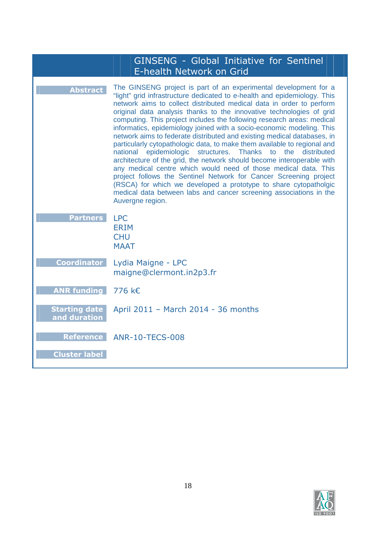|                                      | <b>GINSENG - Global Initiative for Sentinel</b><br>E-health Network on Grid                                                                                                                                                                                                                                                                                                                                                                                                                                                                                                                                                                                                                                                                                                                                                                                                                                                                                                                                                                                           |
|--------------------------------------|-----------------------------------------------------------------------------------------------------------------------------------------------------------------------------------------------------------------------------------------------------------------------------------------------------------------------------------------------------------------------------------------------------------------------------------------------------------------------------------------------------------------------------------------------------------------------------------------------------------------------------------------------------------------------------------------------------------------------------------------------------------------------------------------------------------------------------------------------------------------------------------------------------------------------------------------------------------------------------------------------------------------------------------------------------------------------|
| <b>Abstract</b>                      | The GINSENG project is part of an experimental development for a<br>"light" grid infrastructure dedicated to e-health and epidemiology. This<br>network aims to collect distributed medical data in order to perform<br>original data analysis thanks to the innovative technologies of grid<br>computing. This project includes the following research areas: medical<br>informatics, epidemiology joined with a socio-economic modeling. This<br>network aims to federate distributed and existing medical databases, in<br>particularly cytopathologic data, to make them available to regional and<br>epidemiologic<br>structures. Thanks<br>the<br>distributed<br>national<br>to<br>architecture of the grid, the network should become interoperable with<br>any medical centre which would need of those medical data. This<br>project follows the Sentinel Network for Cancer Screening project<br>(RSCA) for which we developed a prototype to share cytopatholgic<br>medical data between labs and cancer screening associations in the<br>Auvergne region. |
| <b>Partners</b>                      | <b>LPC</b><br><b>ERIM</b><br><b>CHU</b><br><b>MAAT</b>                                                                                                                                                                                                                                                                                                                                                                                                                                                                                                                                                                                                                                                                                                                                                                                                                                                                                                                                                                                                                |
| <b>Coordinator</b>                   | Lydia Maigne - LPC<br>maigne@clermont.in2p3.fr                                                                                                                                                                                                                                                                                                                                                                                                                                                                                                                                                                                                                                                                                                                                                                                                                                                                                                                                                                                                                        |
| <b>ANR funding</b>                   | 776 k€                                                                                                                                                                                                                                                                                                                                                                                                                                                                                                                                                                                                                                                                                                                                                                                                                                                                                                                                                                                                                                                                |
| <b>Starting date</b><br>and duration | April 2011 - March 2014 - 36 months                                                                                                                                                                                                                                                                                                                                                                                                                                                                                                                                                                                                                                                                                                                                                                                                                                                                                                                                                                                                                                   |
| <b>Reference</b>                     | <b>ANR-10-TECS-008</b>                                                                                                                                                                                                                                                                                                                                                                                                                                                                                                                                                                                                                                                                                                                                                                                                                                                                                                                                                                                                                                                |
| <b>Cluster label</b>                 |                                                                                                                                                                                                                                                                                                                                                                                                                                                                                                                                                                                                                                                                                                                                                                                                                                                                                                                                                                                                                                                                       |

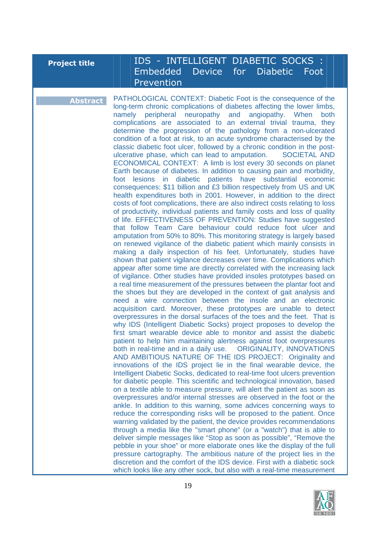# **Project title**  $||||||||$  **IDS - INTELLIGENT DIABETIC SOCKS :** Embedded Device for Diabetic Foot Prevention

**Abstract** PATHOLOGICAL CONTEXT: Diabetic Foot is the consequence of the long-term chronic complications of diabetes affecting the lower limbs, namely peripheral neuropathy and angiopathy. When both complications are associated to an external trivial trauma, they determine the progression of the pathology from a non-ulcerated condition of a foot at risk, to an acute syndrome characterised by the classic diabetic foot ulcer, followed by a chronic condition in the postulcerative phase, which can lead to amputation. SOCIETAL AND ECONOMICAL CONTEXT: A limb is lost every 30 seconds on planet Earth because of diabetes. In addition to causing pain and morbidity, foot lesions in diabetic patients have substantial economic consequences: \$11 billion and £3 billion respectively from US and UK health expenditures both in 2001. However, in addition to the direct costs of foot complications, there are also indirect costs relating to loss of productivity, individual patients and family costs and loss of quality of life. EFFECTIVENESS OF PREVENTION: Studies have suggested that follow Team Care behaviour could reduce foot ulcer and amputation from 50% to 80%. This monitoring strategy is largely based on renewed vigilance of the diabetic patient which mainly consists in making a daily inspection of his feet. Unfortunately, studies have shown that patient vigilance decreases over time. Complications which appear after some time are directly correlated with the increasing lack of vigilance. Other studies have provided insoles prototypes based on a real time measurement of the pressures between the plantar foot and the shoes but they are developed in the context of gait analysis and need a wire connection between the insole and an electronic acquisition card. Moreover, these prototypes are unable to detect overpressures in the dorsal surfaces of the toes and the feet. That is why IDS (Intelligent Diabetic Socks) project proposes to develop the first smart wearable device able to monitor and assist the diabetic patient to help him maintaining alertness against foot overpressures both in real-time and in a daily use. ORIGINALITY, INNOVATIONS AND AMBITIOUS NATURE OF THE IDS PROJECT: Originality and innovations of the IDS project lie in the final wearable device, the Intelligent Diabetic Socks, dedicated to real-time foot ulcers prevention for diabetic people. This scientific and technological innovation, based on a textile able to measure pressure, will alert the patient as soon as overpressures and/or internal stresses are observed in the foot or the ankle. In addition to this warning, some advices concerning ways to reduce the corresponding risks will be proposed to the patient. Once warning validated by the patient, the device provides recommendations through a media like the "smart phone" (or a "watch") that is able to deliver simple messages like "Stop as soon as possible", "Remove the pebble in your shoe" or more elaborate ones like the display of the full pressure cartography. The ambitious nature of the project lies in the discretion and the comfort of the IDS device. First with a diabetic sock which looks like any other sock, but also with a real-time measurement

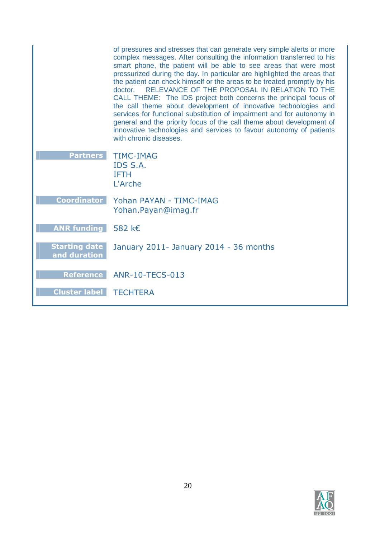|                                      | of pressures and stresses that can generate very simple alerts or more<br>complex messages. After consulting the information transferred to his<br>smart phone, the patient will be able to see areas that were most<br>pressurized during the day. In particular are highlighted the areas that<br>the patient can check himself or the areas to be treated promptly by his<br>RELEVANCE OF THE PROPOSAL IN RELATION TO THE<br>doctor.<br>CALL THEME: The IDS project both concerns the principal focus of<br>the call theme about development of innovative technologies and<br>services for functional substitution of impairment and for autonomy in<br>general and the priority focus of the call theme about development of<br>innovative technologies and services to favour autonomy of patients<br>with chronic diseases. |
|--------------------------------------|------------------------------------------------------------------------------------------------------------------------------------------------------------------------------------------------------------------------------------------------------------------------------------------------------------------------------------------------------------------------------------------------------------------------------------------------------------------------------------------------------------------------------------------------------------------------------------------------------------------------------------------------------------------------------------------------------------------------------------------------------------------------------------------------------------------------------------|
| <b>Partners</b>                      | <b>TIMC-IMAG</b><br>IDS S.A.<br><b>IFTH</b><br>L'Arche                                                                                                                                                                                                                                                                                                                                                                                                                                                                                                                                                                                                                                                                                                                                                                             |
| <b>Coordinator</b>                   | Yohan PAYAN - TIMC-IMAG<br>Yohan. Payan@imag.fr                                                                                                                                                                                                                                                                                                                                                                                                                                                                                                                                                                                                                                                                                                                                                                                    |
| <b>ANR funding</b>                   | 582 k€                                                                                                                                                                                                                                                                                                                                                                                                                                                                                                                                                                                                                                                                                                                                                                                                                             |
| <b>Starting date</b><br>and duration | January 2011- January 2014 - 36 months                                                                                                                                                                                                                                                                                                                                                                                                                                                                                                                                                                                                                                                                                                                                                                                             |
|                                      | Reference ANR-10-TECS-013                                                                                                                                                                                                                                                                                                                                                                                                                                                                                                                                                                                                                                                                                                                                                                                                          |
| <b>Cluster label</b>                 | <b>TECHTERA</b>                                                                                                                                                                                                                                                                                                                                                                                                                                                                                                                                                                                                                                                                                                                                                                                                                    |

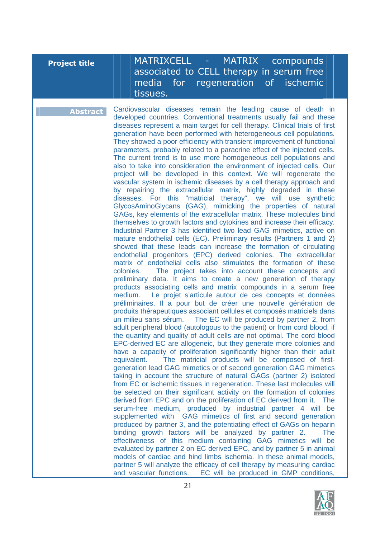| <b>Project title</b> |  |  |
|----------------------|--|--|
|                      |  |  |

### **MATRIXCELL - MATRIX compounds** associated to CELL therapy in serum free media for regeneration of ischemic tissues.

**Abstract** Cardiovascular diseases remain the leading cause of death in developed countries. Conventional treatments usually fail and these diseases represent a main target for cell therapy. Clinical trials of first generation have been performed with heterogeneous cell populations. They showed a poor efficiency with transient improvement of functional parameters, probably related to a paracrine effect of the injected cells. The current trend is to use more homogeneous cell populations and also to take into consideration the environment of injected cells. Our project will be developed in this context. We will regenerate the vascular system in ischemic diseases by a cell therapy approach and by repairing the extracellular matrix, highly degraded in these diseases. For this "matricial therapy", we will use synthetic GlycosAminoGlycans (GAG), mimicking the properties of natural GAGs, key elements of the extracellular matrix. These molecules bind themselves to growth factors and cytokines and increase their efficacy. Industrial Partner 3 has identified two lead GAG mimetics, active on mature endothelial cells (EC). Preliminary results (Partners 1 and 2) showed that these leads can increase the formation of circulating endothelial progenitors (EPC) derived colonies. The extracellular matrix of endothelial cells also stimulates the formation of these colonies. The project takes into account these concepts and preliminary data. It aims to create a new generation of therapy products associating cells and matrix compounds in a serum free medium. Le projet s'articule autour de ces concepts et données préliminaires. Il a pour but de créer une nouvelle génération de produits thérapeutiques associant cellules et composés matriciels dans un milieu sans sérum. The EC will be produced by partner 2, from adult peripheral blood (autologous to the patient) or from cord blood, if the quantity and quality of adult cells are not optimal. The cord blood EPC-derived EC are allogeneic, but they generate more colonies and have a capacity of proliferation significantly higher than their adult equivalent. The matricial products will be composed of firstgeneration lead GAG mimetics or of second generation GAG mimetics taking in account the structure of natural GAGs (partner 2) isolated from EC or ischemic tissues in regeneration. These last molecules will be selected on their significant activity on the formation of colonies derived from EPC and on the proliferation of EC derived from it. The serum-free medium, produced by industrial partner 4 will be supplemented with GAG mimetics of first and second generation produced by partner 3, and the potentiating effect of GAGs on heparin binding growth factors will be analyzed by partner 2. The effectiveness of this medium containing GAG mimetics will be evaluated by partner 2 on EC derived EPC, and by partner 5 in animal models of cardiac and hind limbs ischemia. In these animal models, partner 5 will analyze the efficacy of cell therapy by measuring cardiac and vascular functions. EC will be produced in GMP conditions,

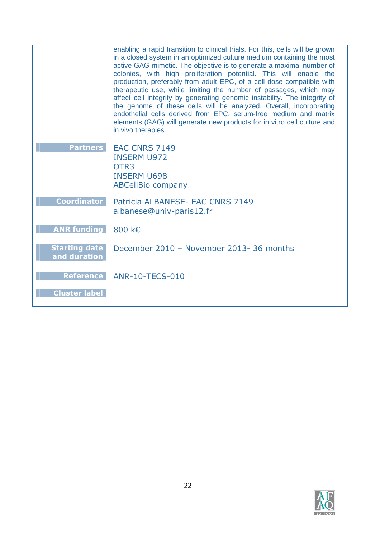|                                      | enabling a rapid transition to clinical trials. For this, cells will be grown<br>in a closed system in an optimized culture medium containing the most<br>active GAG mimetic. The objective is to generate a maximal number of<br>colonies, with high proliferation potential. This will enable the<br>production, preferably from adult EPC, of a cell dose compatible with<br>therapeutic use, while limiting the number of passages, which may<br>affect cell integrity by generating genomic instability. The integrity of<br>the genome of these cells will be analyzed. Overall, incorporating<br>endothelial cells derived from EPC, serum-free medium and matrix<br>elements (GAG) will generate new products for in vitro cell culture and<br>in vivo therapies. |
|--------------------------------------|---------------------------------------------------------------------------------------------------------------------------------------------------------------------------------------------------------------------------------------------------------------------------------------------------------------------------------------------------------------------------------------------------------------------------------------------------------------------------------------------------------------------------------------------------------------------------------------------------------------------------------------------------------------------------------------------------------------------------------------------------------------------------|
| <b>Partners</b>                      | <b>EAC CNRS 7149</b><br><b>INSERM U972</b><br>OTR <sub>3</sub><br><b>INSERM U698</b><br><b>ABCellBio company</b>                                                                                                                                                                                                                                                                                                                                                                                                                                                                                                                                                                                                                                                          |
| Coordinator                          | Patricia ALBANESE- EAC CNRS 7149<br>albanese@univ-paris12.fr                                                                                                                                                                                                                                                                                                                                                                                                                                                                                                                                                                                                                                                                                                              |
| <b>ANR funding</b>                   | 800 k€                                                                                                                                                                                                                                                                                                                                                                                                                                                                                                                                                                                                                                                                                                                                                                    |
| <b>Starting date</b><br>and duration | December 2010 - November 2013-36 months                                                                                                                                                                                                                                                                                                                                                                                                                                                                                                                                                                                                                                                                                                                                   |
|                                      | Reference ANR-10-TECS-010                                                                                                                                                                                                                                                                                                                                                                                                                                                                                                                                                                                                                                                                                                                                                 |
| <b>Cluster label</b>                 |                                                                                                                                                                                                                                                                                                                                                                                                                                                                                                                                                                                                                                                                                                                                                                           |

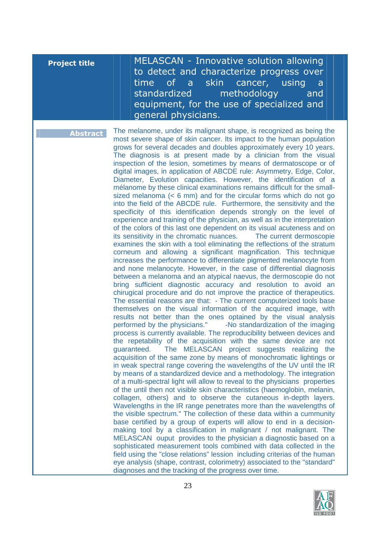| <b>Project title</b> | MELASCAN - Innovative solution allowing<br>to detect and characterize progress over<br>time of a<br>skin cancer, using<br>a<br>standardized<br>methodology<br>and<br>equipment, for the use of specialized and<br>general physicians.                                                                                                                                                                                                                                                                                                                                                                                                                                                                                                                                                                                                                                                                                                                                                                                                                                                                                                                                                                                                                                                                                                                                                                                                                                                                                                                                                                                                                                                                                                                                                                                                                                                                                                                                                                                                                                                                                                                                                                                                                                                                                                                                                                                                                                                                                                                                                                                                                                                                                                                                                                                                                                                                                                                                                                                                                                                                                                                                                 |
|----------------------|---------------------------------------------------------------------------------------------------------------------------------------------------------------------------------------------------------------------------------------------------------------------------------------------------------------------------------------------------------------------------------------------------------------------------------------------------------------------------------------------------------------------------------------------------------------------------------------------------------------------------------------------------------------------------------------------------------------------------------------------------------------------------------------------------------------------------------------------------------------------------------------------------------------------------------------------------------------------------------------------------------------------------------------------------------------------------------------------------------------------------------------------------------------------------------------------------------------------------------------------------------------------------------------------------------------------------------------------------------------------------------------------------------------------------------------------------------------------------------------------------------------------------------------------------------------------------------------------------------------------------------------------------------------------------------------------------------------------------------------------------------------------------------------------------------------------------------------------------------------------------------------------------------------------------------------------------------------------------------------------------------------------------------------------------------------------------------------------------------------------------------------------------------------------------------------------------------------------------------------------------------------------------------------------------------------------------------------------------------------------------------------------------------------------------------------------------------------------------------------------------------------------------------------------------------------------------------------------------------------------------------------------------------------------------------------------------------------------------------------------------------------------------------------------------------------------------------------------------------------------------------------------------------------------------------------------------------------------------------------------------------------------------------------------------------------------------------------------------------------------------------------------------------------------------------------|
| <b>Abstract</b>      | The melanome, under its malignant shape, is recognized as being the<br>most severe shape of skin cancer. Its impact to the human population<br>grows for several decades and doubles approximately every 10 years.<br>The diagnosis is at present made by a clinician from the visual<br>inspection of the lesion, sometimes by means of dermatoscope or of<br>digital images, in application of ABCDE rule: Asymmetry, Edge, Color,<br>Diameter, Evolution capacities. However, the identification of a<br>mélanome by these clinical examinations remains difficult for the small-<br>sized melanoma $(< 6$ mm) and for the circular forms which do not go<br>into the field of the ABCDE rule. Furthermore, the sensitivity and the<br>specificity of this identification depends strongly on the level of<br>experience and training of the physician, as well as in the interpretation<br>of the colors of this last one dependent on its visual acuteness and on<br>its sensitivity in the chromatic nuances.<br>The current dermoscopie<br>examines the skin with a tool eliminating the reflections of the stratum<br>corneum and allowing a significant magnification. This technique<br>increases the performance to differentiate pigmented melanocyte from<br>and none melanocyte. However, in the case of differential diagnosis<br>between a melanoma and an atypical naevus, the dermoscopie do not<br>bring sufficient diagnostic accuracy and resolution to avoid an<br>chirugical procedure and do not improve the practice of therapeutics.<br>The essential reasons are that: - The current computerized tools base<br>themselves on the visual information of the acquired image, with<br>results not better than the ones optained by the visual analysis<br>performed by the physicians." -No standardization of the imaging<br>process is currently available. The reproducibility between devices and<br>the repetability of the acquisition with the same device are not<br>The MELASCAN project suggests realizing the<br>quaranteed.<br>acquisition of the same zone by means of monochromatic lightings or<br>in weak spectral range covering the wavelengths of the UV until the IR<br>by means of a standardized device and a methodology. The integration<br>of a multi-spectral light will allow to reveal to the physicians properties<br>of the until then not visible skin characteristics (haemoglobin, melanin,<br>collagen, others) and to observe the cutaneous in-depth layers.<br>Wavelengths in the IR range penetrates more than the wavelengths of<br>the visible spectrum." The collection of these data within a cummunity<br>base certified by a group of experts will allow to end in a decision-<br>making tool by a classification in malignant / not malignant. The<br>MELASCAN ouput provides to the physician a diagnostic based on a<br>sophisticated measurement tools combined with data collected in the<br>field using the "close relations" lession including criterias of the human<br>eye analysis (shape, contrast, colorimetry) associated to the "standard"<br>diagnoses and the tracking of the progress over time. |

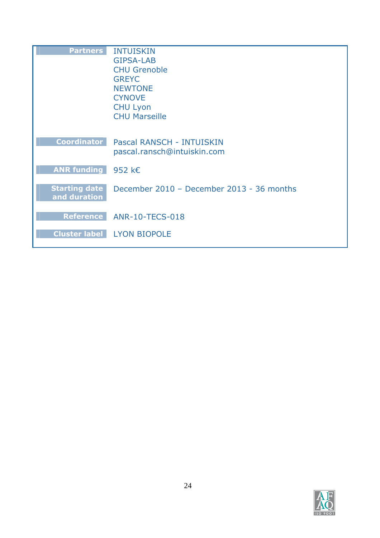| <b>Partners</b>                  | <b>INTUISKIN</b>                          |
|----------------------------------|-------------------------------------------|
|                                  | <b>GIPSA-LAB</b>                          |
|                                  | <b>CHU Grenoble</b>                       |
|                                  | <b>GREYC</b>                              |
|                                  | <b>NEWTONE</b>                            |
|                                  | <b>CYNOVE</b>                             |
|                                  | <b>CHU Lyon</b>                           |
|                                  | <b>CHU Marseille</b>                      |
|                                  |                                           |
|                                  |                                           |
| <b>Coordinator</b>               | Pascal RANSCH - INTUISKIN                 |
|                                  | pascal.ransch@intuiskin.com               |
|                                  |                                           |
| ANR funding $952 \text{ } k \in$ |                                           |
| <b>Starting date</b>             | December 2010 - December 2013 - 36 months |
| and duration                     |                                           |
|                                  |                                           |
|                                  | Reference ANR-10-TECS-018                 |
|                                  |                                           |
|                                  | <b>Cluster label LYON BIOPOLE</b>         |
|                                  |                                           |

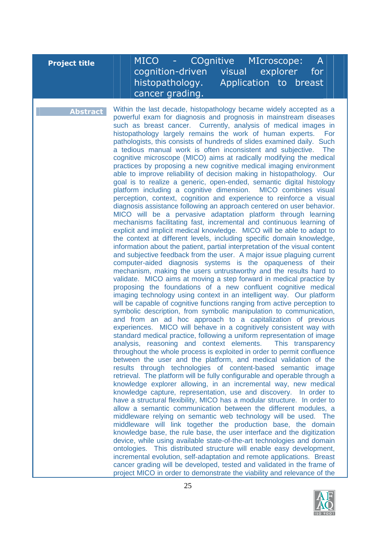# **Project title** MICO - COgnitive MIcroscope: A cognition-driven visual explorer for histopathology. Application to breast cancer grading.

**Abstract** Within the last decade, histopathology became widely accepted as a powerful exam for diagnosis and prognosis in mainstream diseases such as breast cancer. Currently, analysis of medical images in histopathology largely remains the work of human experts. For pathologists, this consists of hundreds of slides examined daily. Such a tedious manual work is often inconsistent and subjective. The cognitive microscope (MICO) aims at radically modifying the medical practices by proposing a new cognitive medical imaging environment able to improve reliability of decision making in histopathology. Our goal is to realize a generic, open-ended, semantic digital histology platform including a cognitive dimension. MICO combines visual perception, context, cognition and experience to reinforce a visual diagnosis assistance following an approach centered on user behavior. MICO will be a pervasive adaptation platform through learning mechanisms facilitating fast, incremental and continuous learning of explicit and implicit medical knowledge. MICO will be able to adapt to the context at different levels, including specific domain knowledge, information about the patient, partial interpretation of the visual content and subjective feedback from the user. A major issue plaguing current computer-aided diagnosis systems is the opaqueness of their mechanism, making the users untrustworthy and the results hard to validate. MICO aims at moving a step forward in medical practice by proposing the foundations of a new confluent cognitive medical imaging technology using context in an intelligent way. Our platform will be capable of cognitive functions ranging from active perception to symbolic description, from symbolic manipulation to communication, and from an ad hoc approach to a capitalization of previous experiences. MICO will behave in a cognitively consistent way with standard medical practice, following a uniform representation of image analysis, reasoning and context elements. This transparency throughout the whole process is exploited in order to permit confluence between the user and the platform, and medical validation of the results through technologies of content-based semantic image retrieval. The platform will be fully configurable and operable through a knowledge explorer allowing, in an incremental way, new medical knowledge capture, representation, use and discovery. In order to have a structural flexibility, MICO has a modular structure. In order to allow a semantic communication between the different modules, a middleware relying on semantic web technology will be used. The middleware will link together the production base, the domain knowledge base, the rule base, the user interface and the digitization device, while using available state-of-the-art technologies and domain ontologies. This distributed structure will enable easy development, incremental evolution, self-adaptation and remote applications. Breast cancer grading will be developed, tested and validated in the frame of project MICO in order to demonstrate the viability and relevance of the

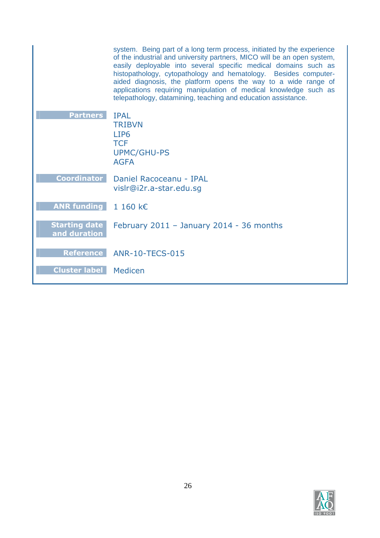|                                      | system. Being part of a long term process, initiated by the experience<br>of the industrial and university partners, MICO will be an open system,<br>easily deployable into several specific medical domains such as<br>histopathology, cytopathology and hematology. Besides computer-<br>aided diagnosis, the platform opens the way to a wide range of<br>applications requiring manipulation of medical knowledge such as<br>telepathology, datamining, teaching and education assistance. |
|--------------------------------------|------------------------------------------------------------------------------------------------------------------------------------------------------------------------------------------------------------------------------------------------------------------------------------------------------------------------------------------------------------------------------------------------------------------------------------------------------------------------------------------------|
| <b>Partners</b>                      | <b>IPAL</b><br><b>TRIBVN</b><br>LIP <sub>6</sub><br><b>TCF</b><br><b>UPMC/GHU-PS</b><br><b>AGFA</b>                                                                                                                                                                                                                                                                                                                                                                                            |
| <b>Coordinator</b>                   | Daniel Racoceanu - IPAL<br>vislr@i2r.a-star.edu.sq                                                                                                                                                                                                                                                                                                                                                                                                                                             |
| <b>ANR funding</b>                   | 1 160 $k \in$                                                                                                                                                                                                                                                                                                                                                                                                                                                                                  |
| <b>Starting date</b><br>and duration | February $2011 -$ January 2014 - 36 months                                                                                                                                                                                                                                                                                                                                                                                                                                                     |
| <b>Reference</b>                     | ANR-10-TECS-015                                                                                                                                                                                                                                                                                                                                                                                                                                                                                |
| <b>Cluster label   Medicen</b>       |                                                                                                                                                                                                                                                                                                                                                                                                                                                                                                |

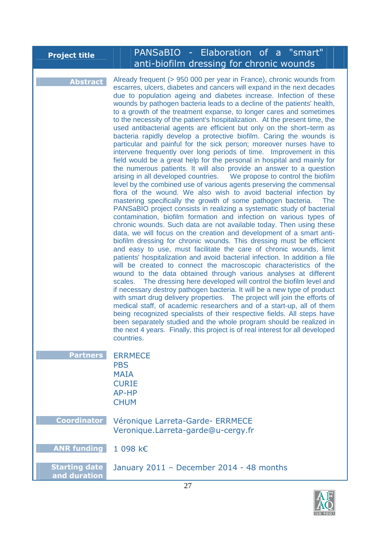| <b>Project title</b>                 | PANSaBIO - Elaboration of a "smart"<br>anti-biofilm dressing for chronic wounds                                                                                                                                                                                                                                                                                                                                                                                                                                                                                                                                                                                                                                                                                                                                                                                                                                                                                                                                                                                                                                                                                                                                                                                                                                                                                                                                                                                                                                                                                                                                                                                                                                                                                                                                                                                                                                                                                                                                                                                                                                                                                                                                                                                                                                                                                                                                                             |
|--------------------------------------|---------------------------------------------------------------------------------------------------------------------------------------------------------------------------------------------------------------------------------------------------------------------------------------------------------------------------------------------------------------------------------------------------------------------------------------------------------------------------------------------------------------------------------------------------------------------------------------------------------------------------------------------------------------------------------------------------------------------------------------------------------------------------------------------------------------------------------------------------------------------------------------------------------------------------------------------------------------------------------------------------------------------------------------------------------------------------------------------------------------------------------------------------------------------------------------------------------------------------------------------------------------------------------------------------------------------------------------------------------------------------------------------------------------------------------------------------------------------------------------------------------------------------------------------------------------------------------------------------------------------------------------------------------------------------------------------------------------------------------------------------------------------------------------------------------------------------------------------------------------------------------------------------------------------------------------------------------------------------------------------------------------------------------------------------------------------------------------------------------------------------------------------------------------------------------------------------------------------------------------------------------------------------------------------------------------------------------------------------------------------------------------------------------------------------------------------|
| <b>Abstract</b>                      | Already frequent (> 950 000 per year in France), chronic wounds from<br>escarres, ulcers, diabetes and cancers will expand in the next decades<br>due to population ageing and diabetes increase. Infection of these<br>wounds by pathogen bacteria leads to a decline of the patients' health,<br>to a growth of the treatment expanse, to longer cares and sometimes<br>to the necessity of the patient's hospitalization. At the present time, the<br>used antibacterial agents are efficient but only on the short-term as<br>bacteria rapidly develop a protective biofilm. Caring the wounds is<br>particular and painful for the sick person; moreover nurses have to<br>intervene frequently over long periods of time. Improvement in this<br>field would be a great help for the personal in hospital and mainly for<br>the numerous patients. It will also provide an answer to a question<br>arising in all developed countries.  We propose to control the biofilm<br>level by the combined use of various agents preserving the commensal<br>flora of the wound. We also wish to avoid bacterial infection by<br>mastering specifically the growth of some pathogen bacteria.<br><b>The</b><br>PANSaBIO project consists in realizing a systematic study of bacterial<br>contamination, biofilm formation and infection on various types of<br>chronic wounds. Such data are not available today. Then using these<br>data, we will focus on the creation and development of a smart anti-<br>biofilm dressing for chronic wounds. This dressing must be efficient<br>and easy to use, must facilitate the care of chronic wounds, limit<br>patients' hospitalization and avoid bacterial infection. In addition a file<br>will be created to connect the macroscopic characteristics of the<br>wound to the data obtained through various analyses at different<br>scales. The dressing here developed will control the biofilm level and<br>if necessary destroy pathogen bacteria. It will be a new type of product<br>with smart drug delivery properties. The project will join the efforts of<br>medical staff, of academic researchers and of a start-up, all of them<br>being recognized specialists of their respective fields. All steps have<br>been separately studied and the whole program should be realized in<br>the next 4 years. Finally, this project is of real interest for all developed<br>countries. |
| <b>Partners</b>                      | <b>ERRMECE</b><br><b>PBS</b><br><b>MAIA</b><br><b>CURIE</b><br>AP-HP<br><b>CHUM</b>                                                                                                                                                                                                                                                                                                                                                                                                                                                                                                                                                                                                                                                                                                                                                                                                                                                                                                                                                                                                                                                                                                                                                                                                                                                                                                                                                                                                                                                                                                                                                                                                                                                                                                                                                                                                                                                                                                                                                                                                                                                                                                                                                                                                                                                                                                                                                         |
| <b>Coordinator</b>                   | Véronique Larreta-Garde- ERRMECE<br>Veronique.Larreta-garde@u-cergy.fr                                                                                                                                                                                                                                                                                                                                                                                                                                                                                                                                                                                                                                                                                                                                                                                                                                                                                                                                                                                                                                                                                                                                                                                                                                                                                                                                                                                                                                                                                                                                                                                                                                                                                                                                                                                                                                                                                                                                                                                                                                                                                                                                                                                                                                                                                                                                                                      |
| <b>ANR funding</b>                   | 1 098 k€                                                                                                                                                                                                                                                                                                                                                                                                                                                                                                                                                                                                                                                                                                                                                                                                                                                                                                                                                                                                                                                                                                                                                                                                                                                                                                                                                                                                                                                                                                                                                                                                                                                                                                                                                                                                                                                                                                                                                                                                                                                                                                                                                                                                                                                                                                                                                                                                                                    |
| <b>Starting date</b><br>and duration | January 2011 - December 2014 - 48 months                                                                                                                                                                                                                                                                                                                                                                                                                                                                                                                                                                                                                                                                                                                                                                                                                                                                                                                                                                                                                                                                                                                                                                                                                                                                                                                                                                                                                                                                                                                                                                                                                                                                                                                                                                                                                                                                                                                                                                                                                                                                                                                                                                                                                                                                                                                                                                                                    |

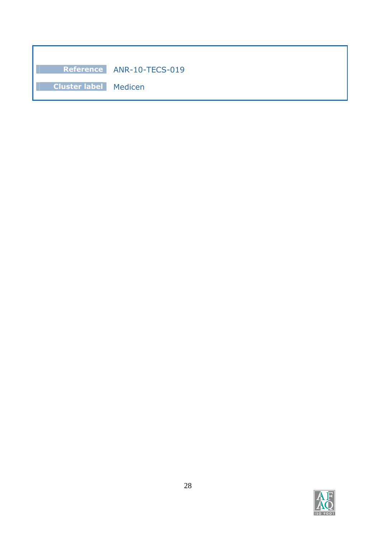|                                | Reference ANR-10-TECS-019 |  |
|--------------------------------|---------------------------|--|
| <b>Cluster label   Medicen</b> |                           |  |

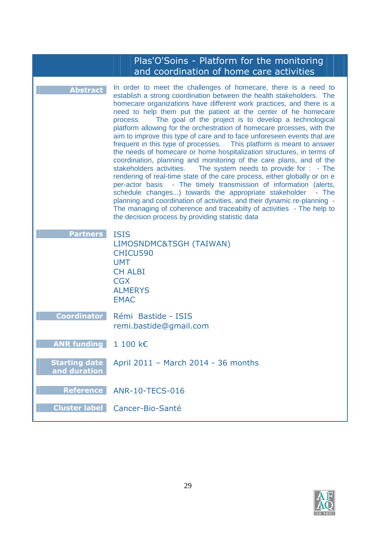|                                      | Plas'O'Soins - Platform for the monitoring<br>and coordination of home care activities                                                                                                                                                                                                                                                                                                                                                                                                                                                                                                                                                                                                                                                                                                                                                                                                                                                                                                                                                                                                                                                                                                                                                     |
|--------------------------------------|--------------------------------------------------------------------------------------------------------------------------------------------------------------------------------------------------------------------------------------------------------------------------------------------------------------------------------------------------------------------------------------------------------------------------------------------------------------------------------------------------------------------------------------------------------------------------------------------------------------------------------------------------------------------------------------------------------------------------------------------------------------------------------------------------------------------------------------------------------------------------------------------------------------------------------------------------------------------------------------------------------------------------------------------------------------------------------------------------------------------------------------------------------------------------------------------------------------------------------------------|
| <b>Abstract</b>                      | In order to meet the challenges of homecare, there is a need to<br>establish a strong coordination between the health stakeholders. The<br>homecare organizations have different work practices, and there is a<br>need to help them put the patient at the center of he homecare<br>The goal of the project is to develop a technological<br>process.<br>platform allowing for the orchestration of homecare prcesses, with the<br>aim to improve this type of care and to face unforeseen events that are<br>frequent in this type of processes.<br>This platform is meant to answer<br>the needs of homecare or home hospitalization structures, in terms of<br>coordination, planning and monitoring of the care plans, and of the<br>The system needs to provide for : - The<br>stakeholders activities.<br>rendering of real-time state of the care process, either globally or on e<br>per-actor basis - The timely transmission of information (alerts,<br>schedule changes) towards the appropriate stakeholder<br>- The<br>planning and coordination of activities, and their dynamic re-planning -<br>The managing of coherence and traceabilty of activities - The help to<br>the decision process by providing statistic data |
| <b>Partners</b>                      | <b>ISIS</b><br>LIMOSNDMC&TSGH (TAIWAN)<br>CHICU590<br><b>UMT</b><br><b>CH ALBI</b><br><b>CGX</b><br><b>ALMERYS</b><br><b>EMAC</b>                                                                                                                                                                                                                                                                                                                                                                                                                                                                                                                                                                                                                                                                                                                                                                                                                                                                                                                                                                                                                                                                                                          |
| <b>Coordinator</b>                   | Rémi Bastide - ISIS<br>remi.bastide@gmail.com                                                                                                                                                                                                                                                                                                                                                                                                                                                                                                                                                                                                                                                                                                                                                                                                                                                                                                                                                                                                                                                                                                                                                                                              |
| <b>ANR funding</b>                   | 1 100 k€                                                                                                                                                                                                                                                                                                                                                                                                                                                                                                                                                                                                                                                                                                                                                                                                                                                                                                                                                                                                                                                                                                                                                                                                                                   |
| <b>Starting date</b><br>and duration | April 2011 - March 2014 - 36 months                                                                                                                                                                                                                                                                                                                                                                                                                                                                                                                                                                                                                                                                                                                                                                                                                                                                                                                                                                                                                                                                                                                                                                                                        |
| <b>Reference</b>                     | <b>ANR-10-TECS-016</b>                                                                                                                                                                                                                                                                                                                                                                                                                                                                                                                                                                                                                                                                                                                                                                                                                                                                                                                                                                                                                                                                                                                                                                                                                     |
| <b>Cluster label</b>                 | Cancer-Bio-Santé                                                                                                                                                                                                                                                                                                                                                                                                                                                                                                                                                                                                                                                                                                                                                                                                                                                                                                                                                                                                                                                                                                                                                                                                                           |

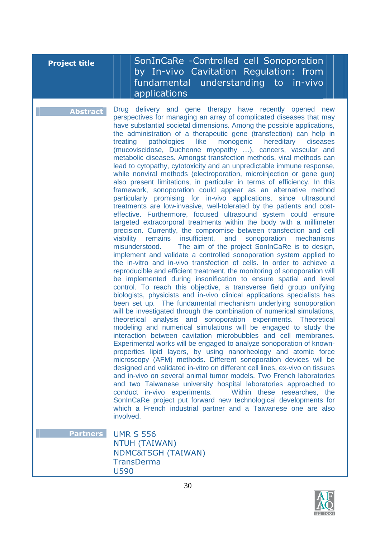**Project title | | | | SonInCaRe -Controlled cell Sonoporation** by In-vivo Cavitation Regulation: from fundamental understanding to in-vivo applications

**Abstract** Drug delivery and gene therapy have recently opened new perspectives for managing an array of complicated diseases that may have substantial societal dimensions. Among the possible applications, the administration of a therapeutic gene (transfection) can help in treating pathologies like monogenic hereditary diseases (mucoviscidose, Duchenne myopathy …), cancers, vascular and metabolic diseases. Amongst transfection methods, viral methods can lead to cytopathy, cytotoxicity and an unpredictable immune response, while nonviral methods (electroporation, microinjection or gene gun) also present limitations, in particular in terms of efficiency. In this framework, sonoporation could appear as an alternative method particularly promising for in-vivo applications, since ultrasound treatments are low-invasive, well-tolerated by the patients and costeffective. Furthermore, focused ultrasound system could ensure targeted extracorporal treatments within the body with a millimeter precision. Currently, the compromise between transfection and cell viability remains insufficient, and sonoporation mechanisms misunderstood. The aim of the project SonInCaRe is to design, implement and validate a controlled sonoporation system applied to the in-vitro and in-vivo transfection of cells. In order to achieve a reproducible and efficient treatment, the monitoring of sonoporation will be implemented during insonification to ensure spatial and level control. To reach this objective, a transverse field group unifying biologists, physicists and in-vivo clinical applications specialists has been set up. The fundamental mechanism underlying sonoporation will be investigated through the combination of numerical simulations, theoretical analysis and sonoporation experiments. Theoretical modeling and numerical simulations will be engaged to study the interaction between cavitation microbubbles and cell membranes. Experimental works will be engaged to analyze sonoporation of knownproperties lipid layers, by using nanorheology and atomic force microscopy (AFM) methods. Different sonoporation devices will be designed and validated in-vitro on different cell lines, ex-vivo on tissues and in-vivo on several animal tumor models. Two French laboratories and two Taiwanese university hospital laboratories approached to conduct in-vivo experiments. Within these researches, the SonInCaRe project put forward new technological developments for which a French industrial partner and a Taiwanese one are also involved.

**Partners** UMR S 556 NTUH (TAIWAN) NDMC&TSGH (TAIWAN) **TransDerma** U590

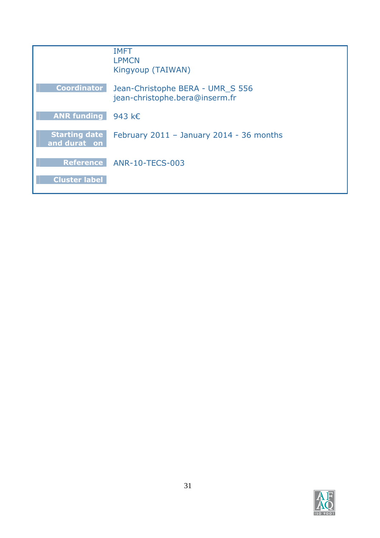|                                      | <b>IMFT</b><br><b>LPMCN</b><br>Kingyoup (TAIWAN)                   |
|--------------------------------------|--------------------------------------------------------------------|
| <b>Coordinator</b>                   | Jean-Christophe BERA - UMR S 556<br>jean-christophe.bera@inserm.fr |
| ANR funding $943 \text{ } k \in$     |                                                                    |
| <b>Starting date</b><br>and durat on | February 2011 - January 2014 - 36 months                           |
|                                      | Reference ANR-10-TECS-003                                          |
| <b>Cluster label</b>                 |                                                                    |

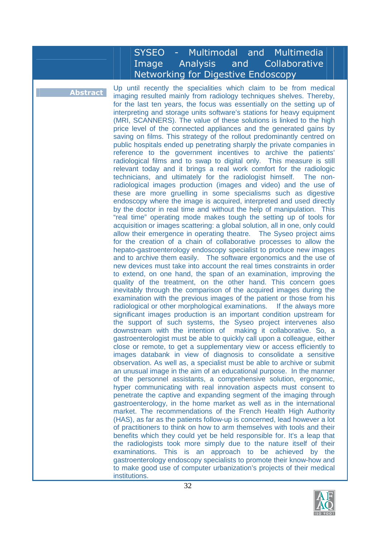### SYSEO - Multimodal and Multimedia Image Analysis and Collaborative Networking for Digestive Endoscopy

**Abstract** Up until recently the specialities which claim to be from medical **Abstract** imaging resulted mainly from radiology techniques shelves. Thereby, for the last ten years, the focus was essentially on the setting up of interpreting and storage units software's stations for heavy equipment (MRI, SCANNERS). The value of these solutions is linked to the high price level of the connected appliances and the generated gains by saving on films. This strategy of the rollout predominantly centred on public hospitals ended up penetrating sharply the private companies in reference to the government incentives to archive the patients' radiological films and to swap to digital only. This measure is still relevant today and it brings a real work comfort for the radiologic technicians, and ultimately for the radiologist himself. The nonradiological images production (images and video) and the use of these are more gruelling in some specialisms such as digestive endoscopy where the image is acquired, interpreted and used directly by the doctor in real time and without the help of manipulation. This "real time" operating mode makes tough the setting up of tools for acquisition or images scattering: a global solution, all in one, only could allow their emergence in operating theatre. The Syseo project aims for the creation of a chain of collaborative processes to allow the hepato-gastroenterology endoscopy specialist to produce new images and to archive them easily. The software ergonomics and the use of new devices must take into account the real times constraints in order to extend, on one hand, the span of an examination, improving the quality of the treatment, on the other hand. This concern goes inevitably through the comparison of the acquired images during the examination with the previous images of the patient or those from his radiological or other morphological examinations. If the always more significant images production is an important condition upstream for the support of such systems, the Syseo project intervenes also downstream with the intention of making it collaborative. So, a gastroenterologist must be able to quickly call upon a colleague, either close or remote, to get a supplementary view or access efficiently to images databank in view of diagnosis to consolidate a sensitive observation. As well as, a specialist must be able to archive or submit an unusual image in the aim of an educational purpose. In the manner of the personnel assistants, a comprehensive solution, ergonomic, hyper communicating with real innovation aspects must consent to penetrate the captive and expanding segment of the imaging through gastroenterology, in the home market as well as in the international market. The recommendations of the French Health High Authority (HAS), as far as the patients follow-up is concerned, lead however a lot of practitioners to think on how to arm themselves with tools and their benefits which they could yet be held responsible for. It's a leap that the radiologists took more simply due to the nature itself of their examinations. This is an approach to be achieved by the gastroenterology endoscopy specialists to promote their know-how and to make good use of computer urbanization's projects of their medical institutions.

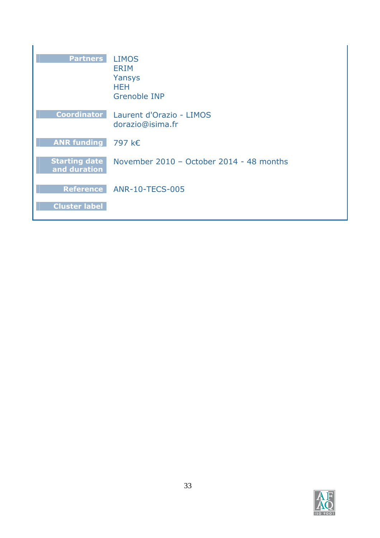| <b>Partners</b>                      | <b>LIMOS</b><br><b>ERIM</b><br>Yansys<br><b>HEH</b><br><b>Grenoble INP</b> |
|--------------------------------------|----------------------------------------------------------------------------|
| <b>Coordinator</b>                   | Laurent d'Orazio - LIMOS<br>dorazio@isima.fr                               |
| <b>ANR funding</b>                   | 797 k€                                                                     |
| <b>Starting date</b><br>and duration | November 2010 - October 2014 - 48 months                                   |
| <b>Reference</b>                     | <b>ANR-10-TECS-005</b>                                                     |
| <b>Cluster label</b>                 |                                                                            |

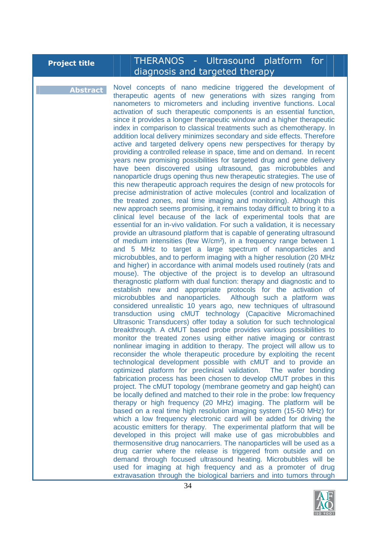# **Project title ||||||THERANOS - Ultrasound platform for** diagnosis and targeted therapy

**Abstract** Novel concepts of nano medicine triggered the development of therapeutic agents of new generations with sizes ranging from nanometers to micrometers and including inventive functions. Local activation of such therapeutic components is an essential function, since it provides a longer therapeutic window and a higher therapeutic index in comparison to classical treatments such as chemotherapy. In addition local delivery minimizes secondary and side effects. Therefore active and targeted delivery opens new perspectives for therapy by providing a controlled release in space, time and on demand. In recent years new promising possibilities for targeted drug and gene delivery have been discovered using ultrasound, gas microbubbles and nanoparticle drugs opening thus new therapeutic strategies. The use of this new therapeutic approach requires the design of new protocols for precise administration of active molecules (control and localization of the treated zones, real time imaging and monitoring). Although this new approach seems promising, it remains today difficult to bring it to a clinical level because of the lack of experimental tools that are essential for an in-vivo validation. For such a validation, it is necessary provide an ultrasound platform that is capable of generating ultrasound of medium intensities (few W/cm²), in a frequency range between 1 and 5 MHz to target a large spectrum of nanoparticles and microbubbles, and to perform imaging with a higher resolution (20 MHz and higher) in accordance with animal models used routinely (rats and mouse). The objective of the project is to develop an ultrasound theragnostic platform with dual function: therapy and diagnostic and to establish new and appropriate protocols for the activation of microbubbles and nanoparticles. Although such a platform was considered unrealistic 10 years ago, new techniques of ultrasound transduction using cMUT technology (Capacitive Micromachined Ultrasonic Transducers) offer today a solution for such technological breakthrough. A cMUT based probe provides various possibilities to monitor the treated zones using either native imaging or contrast nonlinear imaging in addition to therapy. The project will allow us to reconsider the whole therapeutic procedure by exploiting the recent technological development possible with cMUT and to provide an optimized platform for preclinical validation. The wafer bonding fabrication process has been chosen to develop cMUT probes in this project. The cMUT topology (membrane geometry and gap height) can be locally defined and matched to their role in the probe: low frequency therapy or high frequency (20 MHz) imaging. The platform will be based on a real time high resolution imaging system (15-50 MHz) for which a low frequency electronic card will be added for driving the acoustic emitters for therapy. The experimental platform that will be developed in this project will make use of gas microbubbles and thermosensitive drug nanocarriers. The nanoparticles will be used as a drug carrier where the release is triggered from outside and on demand through focused ultrasound heating. Microbubbles will be used for imaging at high frequency and as a promoter of drug extravasation through the biological barriers and into tumors through